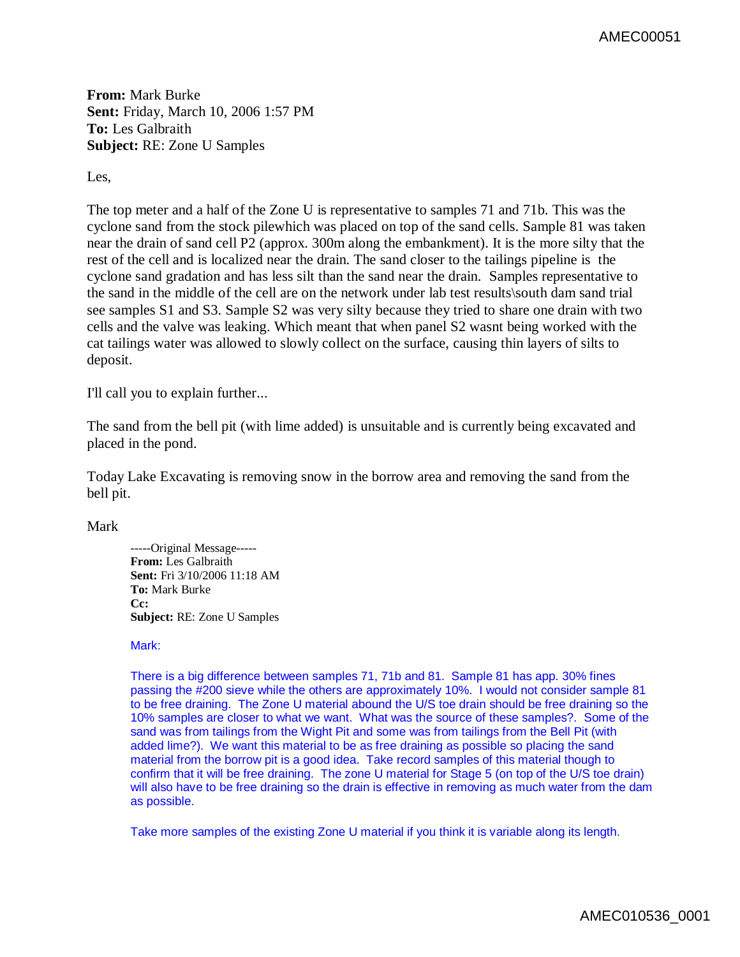AMEC00051

**From:** Mark Burke **Sent:** Friday, March 10, 2006 1:57 PM **To:** Les Galbraith **Subject:** RE: Zone U Samples

Les,

The top meter and a half of the Zone U is representative to samples 71 and 71b. This was the cyclone sand from the stock pilewhich was placed on top of the sand cells. Sample 81 was taken near the drain of sand cell P2 (approx. 300m along the embankment). It is the more silty that the rest of the cell and is localized near the drain. The sand closer to the tailings pipeline is the cyclone sand gradation and has less silt than the sand near the drain. Samples representative to the sand in the middle of the cell are on the network under lab test results\south dam sand trial see samples S1 and S3. Sample S2 was very silty because they tried to share one drain with two cells and the valve was leaking. Which meant that when panel S2 wasnt being worked with the cat tailings water was allowed to slowly collect on the surface, causing thin layers of silts to deposit.

I'll call you to explain further...

The sand from the bell pit (with lime added) is unsuitable and is currently being excavated and placed in the pond.

Today Lake Excavating is removing snow in the borrow area and removing the sand from the bell pit.

Mark

-----Original Message----- **From:** Les Galbraith **Sent:** Fri 3/10/2006 11:18 AM **To:** Mark Burke **Cc: Subject:** RE: Zone U Samples

## Mark:

There is a big difference between samples 71, 71b and 81. Sample 81 has app. 30% fines passing the #200 sieve while the others are approximately 10%. I would not consider sample 81 to be free draining. The Zone U material abound the U/S toe drain should be free draining so the 10% samples are closer to what we want. What was the source of these samples?. Some of the sand was from tailings from the Wight Pit and some was from tailings from the Bell Pit (with added lime?). We want this material to be as free draining as possible so placing the sand material from the borrow pit is a good idea. Take record samples of this material though to confirm that it will be free draining. The zone U material for Stage 5 (on top of the U/S toe drain) will also have to be free draining so the drain is effective in removing as much water from the dam as possible.

Take more samples of the existing Zone U material if you think it is variable along its length.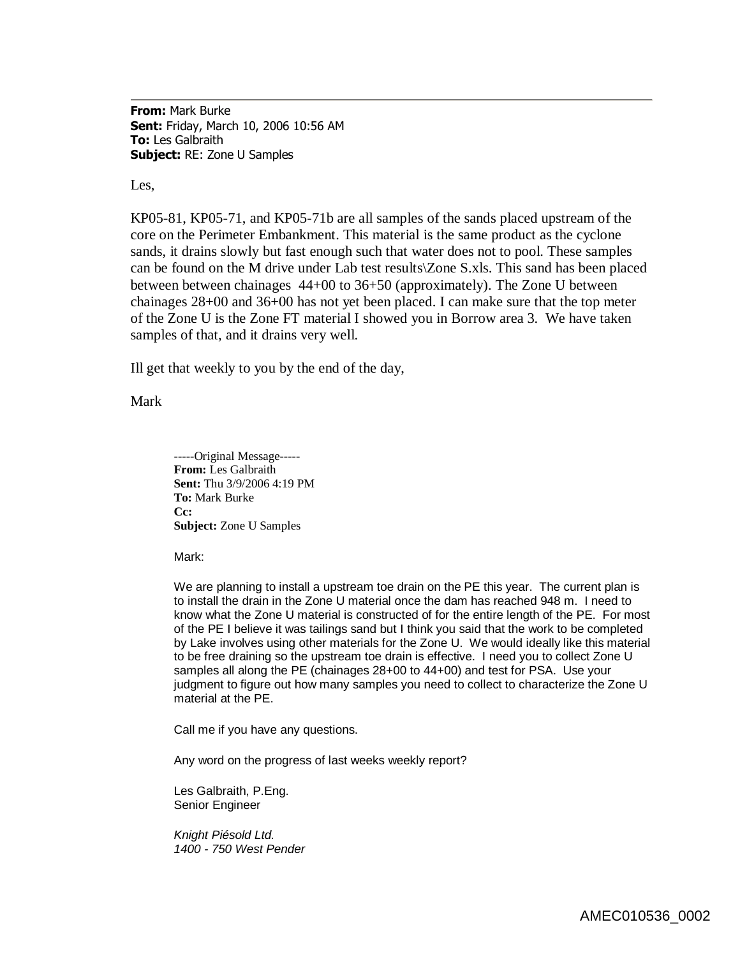**From:** Mark Burke **Sent:** Friday, March 10, 2006 10:56 AM **To:** Les Galbraith **Subject:** RE: Zone U Samples

Les,

KP05-81, KP05-71, and KP05-71b are all samples of the sands placed upstream of the core on the Perimeter Embankment. This material is the same product as the cyclone sands, it drains slowly but fast enough such that water does not to pool. These samples can be found on the M drive under Lab test results\Zone S.xls. This sand has been placed between between chainages 44+00 to 36+50 (approximately). The Zone U between chainages 28+00 and 36+00 has not yet been placed. I can make sure that the top meter of the Zone U is the Zone FT material I showed you in Borrow area 3. We have taken samples of that, and it drains very well.

Ill get that weekly to you by the end of the day,

Mark

-----Original Message----- **From:** Les Galbraith **Sent:** Thu 3/9/2006 4:19 PM **To:** Mark Burke **Cc: Subject:** Zone U Samples

Mark:

We are planning to install a upstream toe drain on the PE this year. The current plan is to install the drain in the Zone U material once the dam has reached 948 m. I need to know what the Zone U material is constructed of for the entire length of the PE. For most of the PE I believe it was tailings sand but I think you said that the work to be completed by Lake involves using other materials for the Zone U. We would ideally like this material to be free draining so the upstream toe drain is effective. I need you to collect Zone U samples all along the PE (chainages 28+00 to 44+00) and test for PSA. Use your judgment to figure out how many samples you need to collect to characterize the Zone U material at the PE.

Call me if you have any questions.

Any word on the progress of last weeks weekly report?

Les Galbraith, P.Eng. Senior Engineer

*Knight Piésold Ltd. 1400 - 750 West Pender*